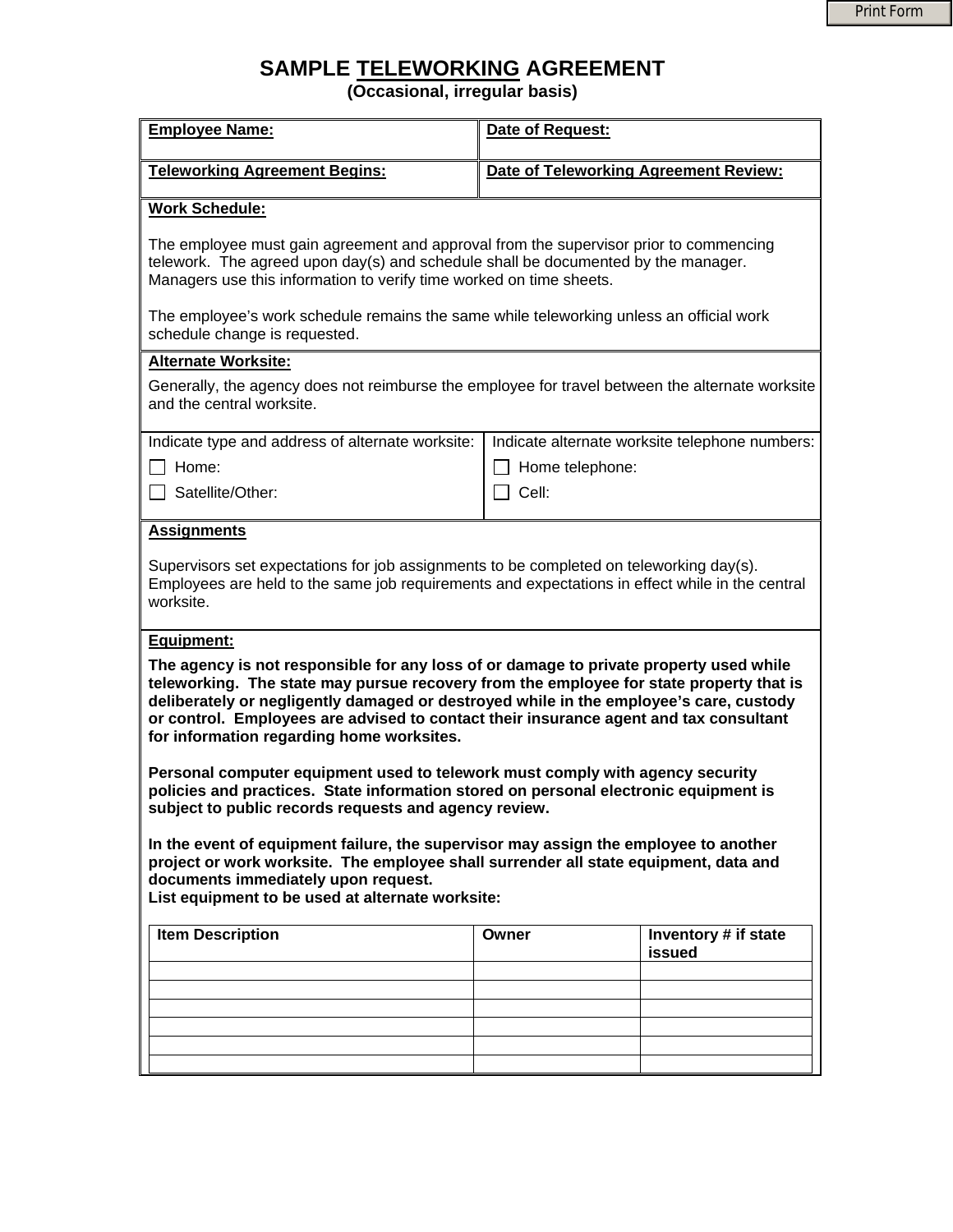## **SAMPLE TELEWORKING AGREEMENT**

**(Occasional, irregular basis)** 

| <b>Employee Name:</b>                                                                                                                                                                                                                                                                                                                                                                                             | Date of Request:                      |                                                |  |
|-------------------------------------------------------------------------------------------------------------------------------------------------------------------------------------------------------------------------------------------------------------------------------------------------------------------------------------------------------------------------------------------------------------------|---------------------------------------|------------------------------------------------|--|
| <b>Teleworking Agreement Begins:</b>                                                                                                                                                                                                                                                                                                                                                                              | Date of Teleworking Agreement Review: |                                                |  |
| <b>Work Schedule:</b>                                                                                                                                                                                                                                                                                                                                                                                             |                                       |                                                |  |
| The employee must gain agreement and approval from the supervisor prior to commencing<br>telework. The agreed upon day(s) and schedule shall be documented by the manager.<br>Managers use this information to verify time worked on time sheets.                                                                                                                                                                 |                                       |                                                |  |
| The employee's work schedule remains the same while teleworking unless an official work<br>schedule change is requested.                                                                                                                                                                                                                                                                                          |                                       |                                                |  |
| <b>Alternate Worksite:</b>                                                                                                                                                                                                                                                                                                                                                                                        |                                       |                                                |  |
| Generally, the agency does not reimburse the employee for travel between the alternate worksite<br>and the central worksite.                                                                                                                                                                                                                                                                                      |                                       |                                                |  |
| Indicate type and address of alternate worksite:                                                                                                                                                                                                                                                                                                                                                                  |                                       | Indicate alternate worksite telephone numbers: |  |
| Home:                                                                                                                                                                                                                                                                                                                                                                                                             | Home telephone:                       |                                                |  |
| Satellite/Other:                                                                                                                                                                                                                                                                                                                                                                                                  | $\sqcap$ Cell:                        |                                                |  |
| <b>Assignments</b>                                                                                                                                                                                                                                                                                                                                                                                                |                                       |                                                |  |
| Supervisors set expectations for job assignments to be completed on teleworking day(s).<br>Employees are held to the same job requirements and expectations in effect while in the central<br>worksite.                                                                                                                                                                                                           |                                       |                                                |  |
| Equipment:                                                                                                                                                                                                                                                                                                                                                                                                        |                                       |                                                |  |
| The agency is not responsible for any loss of or damage to private property used while<br>teleworking. The state may pursue recovery from the employee for state property that is<br>deliberately or negligently damaged or destroyed while in the employee's care, custody<br>or control. Employees are advised to contact their insurance agent and tax consultant<br>for information regarding home worksites. |                                       |                                                |  |
| Personal computer equipment used to telework must comply with agency security<br>policies and practices. State information stored on personal electronic equipment is<br>subject to public records requests and agency review.                                                                                                                                                                                    |                                       |                                                |  |
| In the event of equipment failure, the supervisor may assign the employee to another<br>project or work worksite. The employee shall surrender all state equipment, data and<br>documents immediately upon request.<br>List equipment to be used at alternate worksite:                                                                                                                                           |                                       |                                                |  |
| <b>Item Description</b>                                                                                                                                                                                                                                                                                                                                                                                           | Owner                                 | Inventory # if state<br>issued                 |  |
|                                                                                                                                                                                                                                                                                                                                                                                                                   |                                       |                                                |  |
|                                                                                                                                                                                                                                                                                                                                                                                                                   |                                       |                                                |  |
|                                                                                                                                                                                                                                                                                                                                                                                                                   |                                       |                                                |  |
|                                                                                                                                                                                                                                                                                                                                                                                                                   |                                       |                                                |  |